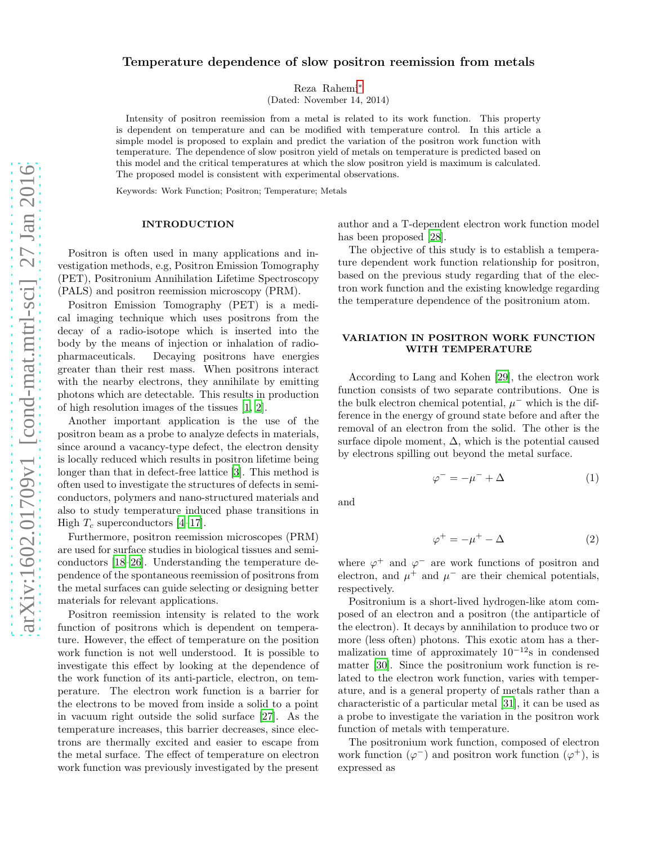# Temperature dependence of slow positron reemission from metals

Reza Rahemi[∗](#page-2-0)

(Dated: November 14, 2014)

Intensity of positron reemission from a metal is related to its work function. This property is dependent on temperature and can be modified with temperature control. In this article a simple model is proposed to explain and predict the variation of the positron work function with temperature. The dependence of slow positron yield of metals on temperature is predicted based on this model and the critical temperatures at which the slow positron yield is maximum is calculated. The proposed model is consistent with experimental observations.

Keywords: Work Function; Positron; Temperature; Metals

#### INTRODUCTION

Positron is often used in many applications and investigation methods, e.g, Positron Emission Tomography (PET), Positronium Annihilation Lifetime Spectroscopy (PALS) and positron reemission microscopy (PRM).

Positron Emission Tomography (PET) is a medical imaging technique which uses positrons from the decay of a radio-isotope which is inserted into the body by the means of injection or inhalation of radiopharmaceuticals. Decaying positrons have energies greater than their rest mass. When positrons interact with the nearby electrons, they annihilate by emitting photons which are detectable. This results in production of high resolution images of the tissues [\[1](#page-2-1), [2](#page-2-2)].

Another important application is the use of the positron beam as a probe to analyze defects in materials, since around a vacancy-type defect, the electron density is locally reduced which results in positron lifetime being longer than that in defect-free lattice [\[3](#page-2-3)]. This method is often used to investigate the structures of defects in semiconductors, polymers and nano-structured materials and also to study temperature induced phase transitions in High  $T_c$  superconductors [\[4](#page-2-4)[–17](#page-2-5)].

Furthermore, positron reemission microscopes (PRM) are used for surface studies in biological tissues and semiconductors [\[18–](#page-2-6)[26\]](#page-3-0). Understanding the temperature dependence of the spontaneous reemission of positrons from the metal surfaces can guide selecting or designing better materials for relevant applications.

Positron reemission intensity is related to the work function of positrons which is dependent on temperature. However, the effect of temperature on the position work function is not well understood. It is possible to investigate this effect by looking at the dependence of the work function of its anti-particle, electron, on temperature. The electron work function is a barrier for the electrons to be moved from inside a solid to a point in vacuum right outside the solid surface [\[27\]](#page-3-1). As the temperature increases, this barrier decreases, since electrons are thermally excited and easier to escape from the metal surface. The effect of temperature on electron work function was previously investigated by the present

author and a T-dependent electron work function model has been proposed [\[28\]](#page-3-2).

The objective of this study is to establish a temperature dependent work function relationship for positron, based on the previous study regarding that of the electron work function and the existing knowledge regarding the temperature dependence of the positronium atom.

## VARIATION IN POSITRON WORK FUNCTION WITH TEMPERATURE

According to Lang and Kohen [\[29\]](#page-3-3), the electron work function consists of two separate contributions. One is the bulk electron chemical potential,  $\mu^-$  which is the difference in the energy of ground state before and after the removal of an electron from the solid. The other is the surface dipole moment,  $\Delta$ , which is the potential caused by electrons spilling out beyond the metal surface.

$$
\varphi^- = -\mu^- + \Delta \tag{1}
$$

and

<span id="page-0-0"></span>
$$
\varphi^+ = -\mu^+ - \Delta \tag{2}
$$

where  $\varphi^+$  and  $\varphi^-$  are work functions of positron and electron, and  $\mu^+$  and  $\mu^-$  are their chemical potentials, respectively.

Positronium is a short-lived hydrogen-like atom composed of an electron and a positron (the antiparticle of the electron). It decays by annihilation to produce two or more (less often) photons. This exotic atom has a thermalization time of approximately  $10^{-12}$ s in condensed matter [\[30](#page-3-4)]. Since the positronium work function is related to the electron work function, varies with temperature, and is a general property of metals rather than a characteristic of a particular metal [\[31](#page-3-5)], it can be used as a probe to investigate the variation in the positron work function of metals with temperature.

The positronium work function, composed of electron work function  $(\varphi^-)$  and positron work function  $(\varphi^+)$ , is expressed as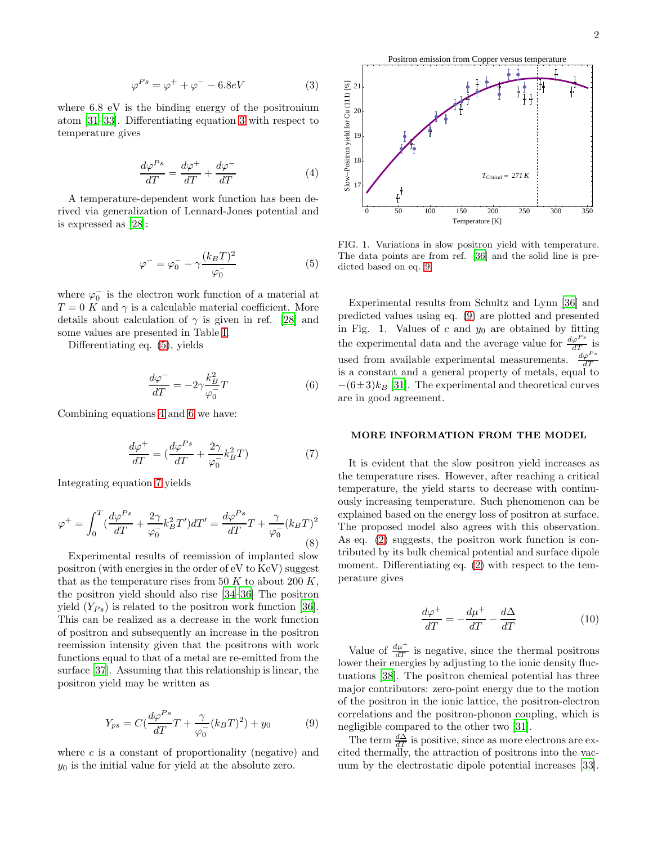<span id="page-1-0"></span>
$$
\varphi^{Ps} = \varphi^+ + \varphi^- - 6.8eV \tag{3}
$$

where 6.8 eV is the binding energy of the positronium atom [\[31](#page-3-5)[–33](#page-3-6)]. Differentiating equation [3](#page-1-0) with respect to temperature gives

<span id="page-1-2"></span>
$$
\frac{d\varphi^{Ps}}{dT} = \frac{d\varphi^{+}}{dT} + \frac{d\varphi^{-}}{dT}
$$
\n(4)

A temperature-dependent work function has been derived via generalization of Lennard-Jones potential and is expressed as [\[28\]](#page-3-2):

<span id="page-1-1"></span>
$$
\varphi^- = \varphi_0^- - \gamma \frac{(k_B T)^2}{\varphi_0^-} \tag{5}
$$

where  $\varphi_0^-$  is the electron work function of a material at  $T = 0$  K and  $\gamma$  is a calculable material coefficient. More details about calculation of  $\gamma$  is given in ref. [\[28\]](#page-3-2) and some values are presented in Table [I.](#page-2-7)

Differentiating eq. [\(5\)](#page-1-1), yields

<span id="page-1-3"></span>
$$
\frac{d\varphi^-}{dT} = -2\gamma \frac{k_B^2}{\varphi_0^-} T \tag{6}
$$

Combining equations [4](#page-1-2) and [6](#page-1-3) we have:

<span id="page-1-4"></span>
$$
\frac{d\varphi^{+}}{dT} = \left(\frac{d\varphi^{Ps}}{dT} + \frac{2\gamma}{\varphi_{0}^{-}}k_{B}^{2}T\right)
$$
\n<sup>(7)</sup>

Integrating equation [7](#page-1-4) yields

$$
\varphi^+ = \int_0^T \left(\frac{d\varphi^{Ps}}{dT} + \frac{2\gamma}{\varphi_0} k_B^2 T'\right) dT' = \frac{d\varphi^{Ps}}{dT} T + \frac{\gamma}{\varphi_0} (k_B T)^2
$$
\n(8)

Experimental results of reemission of implanted slow positron (with energies in the order of eV to KeV) suggest that as the temperature rises from 50 K to about 200 K. the positron yield should also rise [\[34](#page-3-7)[–36\]](#page-3-8) The positron yield  $(Y_{Ps})$  is related to the positron work function [\[36\]](#page-3-8). This can be realized as a decrease in the work function of positron and subsequently an increase in the positron reemission intensity given that the positrons with work functions equal to that of a metal are re-emitted from the surface [\[37](#page-3-9)]. Assuming that this relationship is linear, the positron yield may be written as

<span id="page-1-5"></span>
$$
Y_{ps} = C\left(\frac{d\varphi^{Ps}}{dT}T + \frac{\gamma}{\varphi_0^{-}}(k_B T)^2\right) + y_0\tag{9}
$$

where  $c$  is a constant of proportionality (negative) and  $y_0$  is the initial value for yield at the absolute zero.



FIG. 1. Variations in slow positron yield with temperature. The data points are from ref. [\[36](#page-3-8)] and the solid line is predicted based on eq. [9.](#page-1-5)

Experimental results from Schultz and Lynn [\[36\]](#page-3-8) and predicted values using eq. [\(9\)](#page-1-5) are plotted and presented in Fig. 1. Values of  $c$  and  $y_0$  are obtained by fitting the experimental data and the average value for  $\frac{d\varphi^{Ps}}{dT}$  is used from available experimental measurements.  $\frac{d\varphi^{Ps}}{dT}$  is a constant and a general property of metals, equal to  $-(6\pm3)k_B$  [\[31](#page-3-5)]. The experimental and theoretical curves are in good agreement.

### MORE INFORMATION FROM THE MODEL

It is evident that the slow positron yield increases as the temperature rises. However, after reaching a critical temperature, the yield starts to decrease with continuously increasing temperature. Such phenomenon can be explained based on the energy loss of positron at surface. The proposed model also agrees with this observation. As eq. [\(2\)](#page-0-0) suggests, the positron work function is contributed by its bulk chemical potential and surface dipole moment. Differentiating eq.  $(2)$  with respect to the temperature gives

$$
\frac{d\varphi^{+}}{dT} = -\frac{d\mu^{+}}{dT} - \frac{d\Delta}{dT} \tag{10}
$$

Value of  $\frac{d\mu^+}{dT}$  is negative, since the thermal positrons lower their energies by adjusting to the ionic density fluctuations [\[38\]](#page-3-10). The positron chemical potential has three major contributors: zero-point energy due to the motion of the positron in the ionic lattice, the positron-electron correlations and the positron-phonon coupling, which is negligible compared to the other two [\[31\]](#page-3-5).

The term  $\frac{d\Delta}{dT}$  is positive, since as more electrons are excited thermally, the attraction of positrons into the vacuum by the electrostatic dipole potential increases [\[33\]](#page-3-6).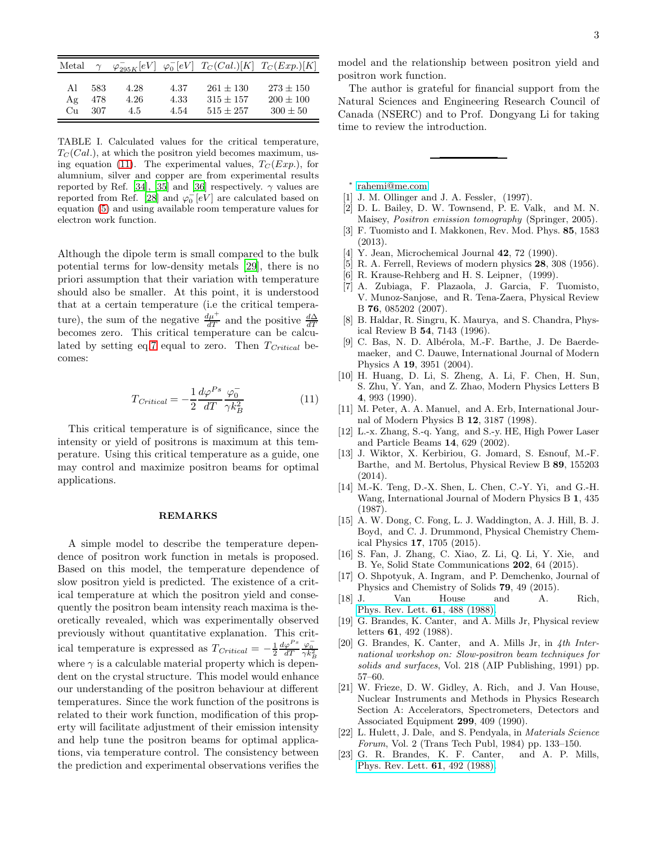| Metal |     |      |      |             | $\varphi_{295K}^- [eV] \varphi_0^- [eV] T_C(Cal.) [K] T_C(Exp.) [K]$ |
|-------|-----|------|------|-------------|----------------------------------------------------------------------|
| Αl    | 583 | 4.28 | 4.37 | $261 + 130$ | $273 + 150$                                                          |
| Αg    | 478 | 4.26 | 4.33 | $315 + 157$ | $200 + 100$                                                          |
| Cп    | 307 | 4.5  | 4.54 | $515 + 257$ | $300 + 50$                                                           |

<span id="page-2-7"></span>TABLE I. Calculated values for the critical temperature,  $T<sub>C</sub>(Cal.)$ , at which the positron yield becomes maximum, us-ing equation [\(11\)](#page-2-8). The experimental values,  $T_C (Exp.)$ , for alumnium, silver and copper are from experimental results reported by Ref. [\[34](#page-3-7)], [\[35](#page-3-11)] and [\[36\]](#page-3-8) respectively.  $\gamma$  values are reported from Ref. [\[28\]](#page-3-2) and  $\varphi_0$  [eV] are calculated based on equation [\(5\)](#page-1-1) and using available room temperature values for electron work function.

Although the dipole term is small compared to the bulk potential terms for low-density metals [\[29\]](#page-3-3), there is no priori assumption that their variation with temperature should also be smaller. At this point, it is understood that at a certain temperature (i.e the critical temperature), the sum of the negative  $\frac{d\mu^+}{dT}$  and the positive  $\frac{d\Delta}{dT}$ becomes zero. This critical temperature can be calcu-lated by setting eq[.7](#page-1-4) equal to zero. Then  $T_{\text{Critical}}$  becomes:

<span id="page-2-8"></span>
$$
T_{Critical} = -\frac{1}{2} \frac{d\varphi^{Ps}}{dT} \frac{\varphi_0^{-}}{\gamma k_B^2}
$$
 (11)

This critical temperature is of significance, since the intensity or yield of positrons is maximum at this temperature. Using this critical temperature as a guide, one may control and maximize positron beams for optimal applications.

### REMARKS

A simple model to describe the temperature dependence of positron work function in metals is proposed. Based on this model, the temperature dependence of slow positron yield is predicted. The existence of a critical temperature at which the positron yield and consequently the positron beam intensity reach maxima is theoretically revealed, which was experimentally observed previously without quantitative explanation. This critical temperature is expressed as  $T_{Critical} = -\frac{1}{2} \frac{d\varphi^{Ps}}{dT}$  $\frac{\varphi_0^-}{\gamma k_B^2}$ where  $\gamma$  is a calculable material property which is dependent on the crystal structure. This model would enhance our understanding of the positron behaviour at different temperatures. Since the work function of the positrons is related to their work function, modification of this property will facilitate adjustment of their emission intensity and help tune the positron beams for optimal applications, via temperature control. The consistency between the prediction and experimental observations verifies the

model and the relationship between positron yield and positron work function.

The author is grateful for financial support from the Natural Sciences and Engineering Research Council of Canada (NSERC) and to Prof. Dongyang Li for taking time to review the introduction.

- <span id="page-2-0"></span>∗ [rahemi@me.com](mailto:rahemi@me.com)
- <span id="page-2-1"></span>[1] J. M. Ollinger and J. A. Fessler, (1997).
- <span id="page-2-2"></span>[2] D. L. Bailey, D. W. Townsend, P. E. Valk, and M. N. Maisey, Positron emission tomography (Springer, 2005).
- <span id="page-2-3"></span>[3] F. Tuomisto and I. Makkonen, Rev. Mod. Phys. 85, 1583 (2013).
- <span id="page-2-4"></span>[4] Y. Jean, Microchemical Journal **42**, 72 (1990).
- [5] R. A. Ferrell, Reviews of modern physics 28, 308 (1956).
- [6] R. Krause-Rehberg and H. S. Leipner, (1999).
- [7] A. Zubiaga, F. Plazaola, J. Garcia, F. Tuomisto, V. Munoz-Sanjose, and R. Tena-Zaera, Physical Review B 76, 085202 (2007).
- [8] B. Haldar, R. Singru, K. Maurya, and S. Chandra, Physical Review B 54, 7143 (1996).
- [9] C. Bas, N. D. Albérola, M.-F. Barthe, J. De Baerdemaeker, and C. Dauwe, International Journal of Modern Physics A 19, 3951 (2004).
- [10] H. Huang, D. Li, S. Zheng, A. Li, F. Chen, H. Sun, S. Zhu, Y. Yan, and Z. Zhao, Modern Physics Letters B 4, 993 (1990).
- [11] M. Peter, A. A. Manuel, and A. Erb, International Journal of Modern Physics B 12, 3187 (1998).
- [12] L.-x. Zhang, S.-q. Yang, and S.-y. HE, High Power Laser and Particle Beams 14, 629 (2002).
- [13] J. Wiktor, X. Kerbiriou, G. Jomard, S. Esnouf, M.-F. Barthe, and M. Bertolus, Physical Review B 89, 155203 (2014).
- [14] M.-K. Teng, D.-X. Shen, L. Chen, C.-Y. Yi, and G.-H. Wang, International Journal of Modern Physics B 1, 435 (1987).
- [15] A. W. Dong, C. Fong, L. J. Waddington, A. J. Hill, B. J. Boyd, and C. J. Drummond, Physical Chemistry Chemical Physics 17, 1705 (2015).
- [16] S. Fan, J. Zhang, C. Xiao, Z. Li, Q. Li, Y. Xie, and B. Ye, Solid State Communications 202, 64 (2015).
- <span id="page-2-5"></span>[17] O. Shpotyuk, A. Ingram, and P. Demchenko, Journal of Physics and Chemistry of Solids 79, 49 (2015).
- <span id="page-2-6"></span>[18] J. Van House and A. Rich, [Phys. Rev. Lett.](http://dx.doi.org/10.1103/PhysRevLett.61.488) 61, 488 (1988).
- [19] G. Brandes, K. Canter, and A. Mills Jr, Physical review letters 61, 492 (1988).
- [20] G. Brandes, K. Canter, and A. Mills Jr, in 4th International workshop on: Slow-positron beam techniques for solids and surfaces, Vol. 218 (AIP Publishing, 1991) pp. 57–60.
- [21] W. Frieze, D. W. Gidley, A. Rich, and J. Van House, Nuclear Instruments and Methods in Physics Research Section A: Accelerators, Spectrometers, Detectors and Associated Equipment 299, 409 (1990).
- [22] L. Hulett, J. Dale, and S. Pendyala, in Materials Science Forum, Vol. 2 (Trans Tech Publ, 1984) pp. 133–150.<br>G. R. Brandes, K. F. Canter, and A. P. Mills,
- $[23]$  G. R. Brandes, K. F. Canter, [Phys. Rev. Lett.](http://dx.doi.org/10.1103/PhysRevLett.61.492) 61, 492 (1988).